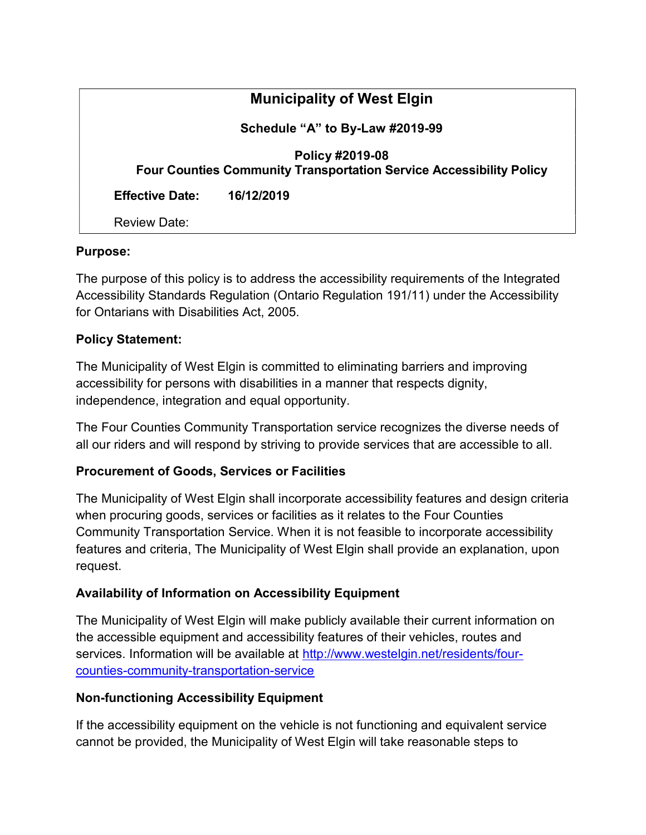| <b>Municipality of West Elgin</b>                                                             |            |
|-----------------------------------------------------------------------------------------------|------------|
| Schedule "A" to By-Law #2019-99                                                               |            |
| Policy #2019-08<br><b>Four Counties Community Transportation Service Accessibility Policy</b> |            |
| <b>Effective Date:</b>                                                                        | 16/12/2019 |
| Review Date:                                                                                  |            |

#### Purpose:

The purpose of this policy is to address the accessibility requirements of the Integrated Accessibility Standards Regulation (Ontario Regulation 191/11) under the Accessibility for Ontarians with Disabilities Act, 2005.

#### Policy Statement:

The Municipality of West Elgin is committed to eliminating barriers and improving accessibility for persons with disabilities in a manner that respects dignity, independence, integration and equal opportunity.

The Four Counties Community Transportation service recognizes the diverse needs of all our riders and will respond by striving to provide services that are accessible to all.

### Procurement of Goods, Services or Facilities

The Municipality of West Elgin shall incorporate accessibility features and design criteria when procuring goods, services or facilities as it relates to the Four Counties Community Transportation Service. When it is not feasible to incorporate accessibility features and criteria, The Municipality of West Elgin shall provide an explanation, upon request.

### Availability of Information on Accessibility Equipment

The Municipality of West Elgin will make publicly available their current information on the accessible equipment and accessibility features of their vehicles, routes and services. Information will be available at http://www.westelgin.net/residents/fourcounties-community-transportation-service

#### Non-functioning Accessibility Equipment

If the accessibility equipment on the vehicle is not functioning and equivalent service cannot be provided, the Municipality of West Elgin will take reasonable steps to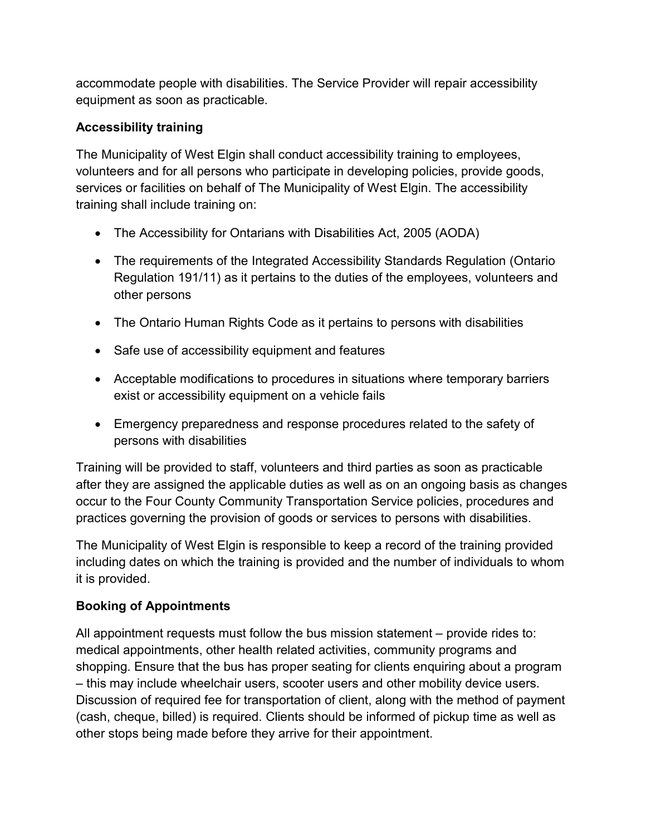accommodate people with disabilities. The Service Provider will repair accessibility equipment as soon as practicable.

## Accessibility training

The Municipality of West Elgin shall conduct accessibility training to employees, volunteers and for all persons who participate in developing policies, provide goods, services or facilities on behalf of The Municipality of West Elgin. The accessibility training shall include training on:

- The Accessibility for Ontarians with Disabilities Act, 2005 (AODA)
- The requirements of the Integrated Accessibility Standards Regulation (Ontario Regulation 191/11) as it pertains to the duties of the employees, volunteers and other persons
- The Ontario Human Rights Code as it pertains to persons with disabilities
- Safe use of accessibility equipment and features
- Acceptable modifications to procedures in situations where temporary barriers exist or accessibility equipment on a vehicle fails
- Emergency preparedness and response procedures related to the safety of persons with disabilities

Training will be provided to staff, volunteers and third parties as soon as practicable after they are assigned the applicable duties as well as on an ongoing basis as changes occur to the Four County Community Transportation Service policies, procedures and practices governing the provision of goods or services to persons with disabilities.

The Municipality of West Elgin is responsible to keep a record of the training provided including dates on which the training is provided and the number of individuals to whom it is provided.

# Booking of Appointments

All appointment requests must follow the bus mission statement – provide rides to: medical appointments, other health related activities, community programs and shopping. Ensure that the bus has proper seating for clients enquiring about a program – this may include wheelchair users, scooter users and other mobility device users. Discussion of required fee for transportation of client, along with the method of payment (cash, cheque, billed) is required. Clients should be informed of pickup time as well as other stops being made before they arrive for their appointment.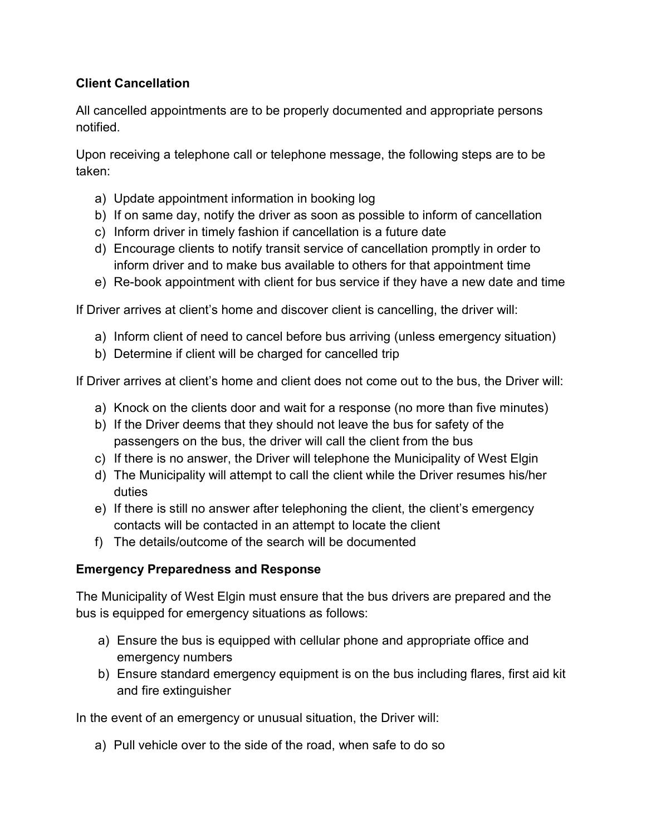### Client Cancellation

All cancelled appointments are to be properly documented and appropriate persons notified.

Upon receiving a telephone call or telephone message, the following steps are to be taken:

- a) Update appointment information in booking log
- b) If on same day, notify the driver as soon as possible to inform of cancellation
- c) Inform driver in timely fashion if cancellation is a future date
- d) Encourage clients to notify transit service of cancellation promptly in order to inform driver and to make bus available to others for that appointment time
- e) Re-book appointment with client for bus service if they have a new date and time

If Driver arrives at client's home and discover client is cancelling, the driver will:

- a) Inform client of need to cancel before bus arriving (unless emergency situation)
- b) Determine if client will be charged for cancelled trip

If Driver arrives at client's home and client does not come out to the bus, the Driver will:

- a) Knock on the clients door and wait for a response (no more than five minutes)
- b) If the Driver deems that they should not leave the bus for safety of the passengers on the bus, the driver will call the client from the bus
- c) If there is no answer, the Driver will telephone the Municipality of West Elgin
- d) The Municipality will attempt to call the client while the Driver resumes his/her duties
- e) If there is still no answer after telephoning the client, the client's emergency contacts will be contacted in an attempt to locate the client
- f) The details/outcome of the search will be documented

## Emergency Preparedness and Response

The Municipality of West Elgin must ensure that the bus drivers are prepared and the bus is equipped for emergency situations as follows:

- a) Ensure the bus is equipped with cellular phone and appropriate office and emergency numbers
- b) Ensure standard emergency equipment is on the bus including flares, first aid kit and fire extinguisher

In the event of an emergency or unusual situation, the Driver will:

a) Pull vehicle over to the side of the road, when safe to do so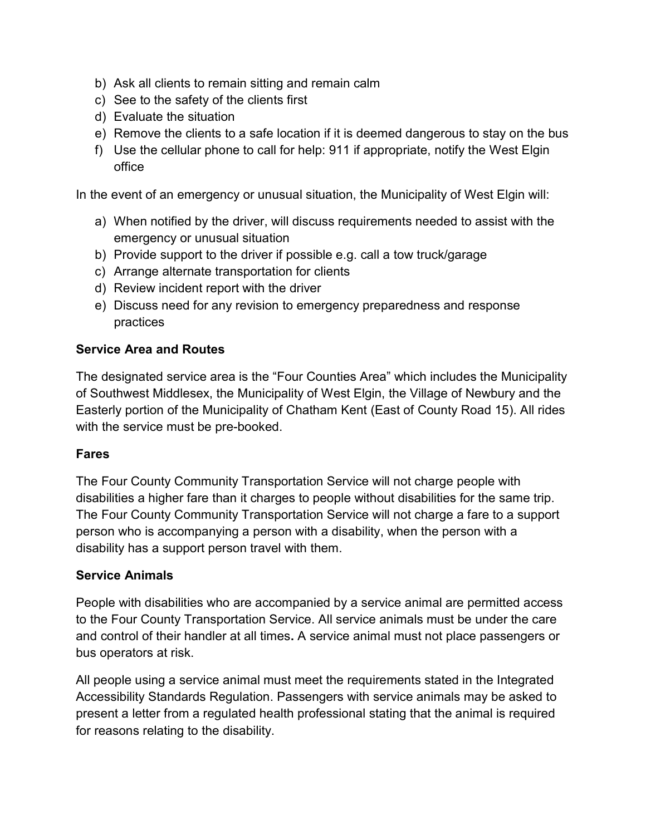- b) Ask all clients to remain sitting and remain calm
- c) See to the safety of the clients first
- d) Evaluate the situation
- e) Remove the clients to a safe location if it is deemed dangerous to stay on the bus
- f) Use the cellular phone to call for help: 911 if appropriate, notify the West Elgin office

In the event of an emergency or unusual situation, the Municipality of West Elgin will:

- a) When notified by the driver, will discuss requirements needed to assist with the emergency or unusual situation
- b) Provide support to the driver if possible e.g. call a tow truck/garage
- c) Arrange alternate transportation for clients
- d) Review incident report with the driver
- e) Discuss need for any revision to emergency preparedness and response practices

### Service Area and Routes

The designated service area is the "Four Counties Area" which includes the Municipality of Southwest Middlesex, the Municipality of West Elgin, the Village of Newbury and the Easterly portion of the Municipality of Chatham Kent (East of County Road 15). All rides with the service must be pre-booked.

### Fares

The Four County Community Transportation Service will not charge people with disabilities a higher fare than it charges to people without disabilities for the same trip. The Four County Community Transportation Service will not charge a fare to a support person who is accompanying a person with a disability, when the person with a disability has a support person travel with them.

#### Service Animals

People with disabilities who are accompanied by a service animal are permitted access to the Four County Transportation Service. All service animals must be under the care and control of their handler at all times. A service animal must not place passengers or bus operators at risk.

All people using a service animal must meet the requirements stated in the Integrated Accessibility Standards Regulation. Passengers with service animals may be asked to present a letter from a regulated health professional stating that the animal is required for reasons relating to the disability.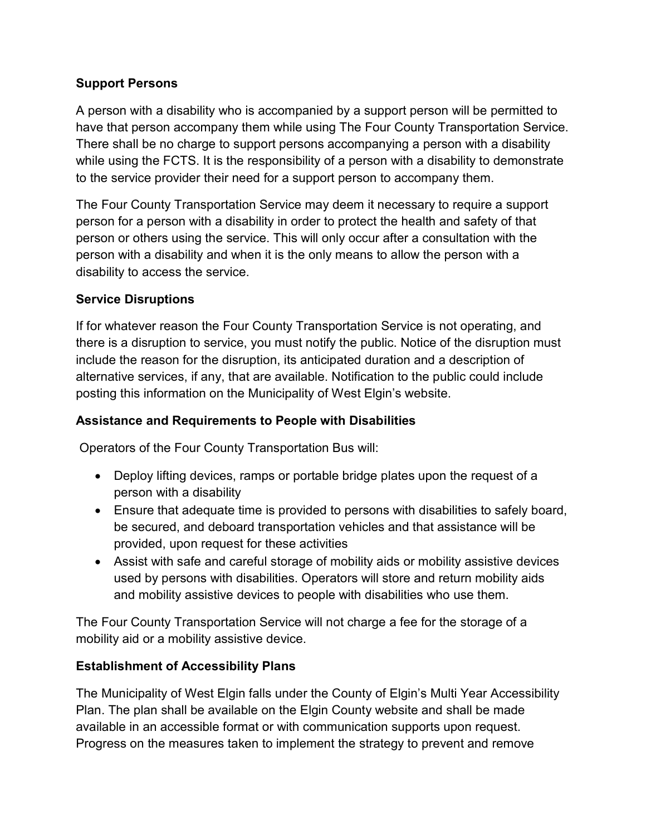### Support Persons

A person with a disability who is accompanied by a support person will be permitted to have that person accompany them while using The Four County Transportation Service. There shall be no charge to support persons accompanying a person with a disability while using the FCTS. It is the responsibility of a person with a disability to demonstrate to the service provider their need for a support person to accompany them.

The Four County Transportation Service may deem it necessary to require a support person for a person with a disability in order to protect the health and safety of that person or others using the service. This will only occur after a consultation with the person with a disability and when it is the only means to allow the person with a disability to access the service.

### Service Disruptions

If for whatever reason the Four County Transportation Service is not operating, and there is a disruption to service, you must notify the public. Notice of the disruption must include the reason for the disruption, its anticipated duration and a description of alternative services, if any, that are available. Notification to the public could include posting this information on the Municipality of West Elgin's website.

### Assistance and Requirements to People with Disabilities

Operators of the Four County Transportation Bus will:

- Deploy lifting devices, ramps or portable bridge plates upon the request of a person with a disability
- Ensure that adequate time is provided to persons with disabilities to safely board, be secured, and deboard transportation vehicles and that assistance will be provided, upon request for these activities
- Assist with safe and careful storage of mobility aids or mobility assistive devices used by persons with disabilities. Operators will store and return mobility aids and mobility assistive devices to people with disabilities who use them.

The Four County Transportation Service will not charge a fee for the storage of a mobility aid or a mobility assistive device.

## Establishment of Accessibility Plans

The Municipality of West Elgin falls under the County of Elgin's Multi Year Accessibility Plan. The plan shall be available on the Elgin County website and shall be made available in an accessible format or with communication supports upon request. Progress on the measures taken to implement the strategy to prevent and remove